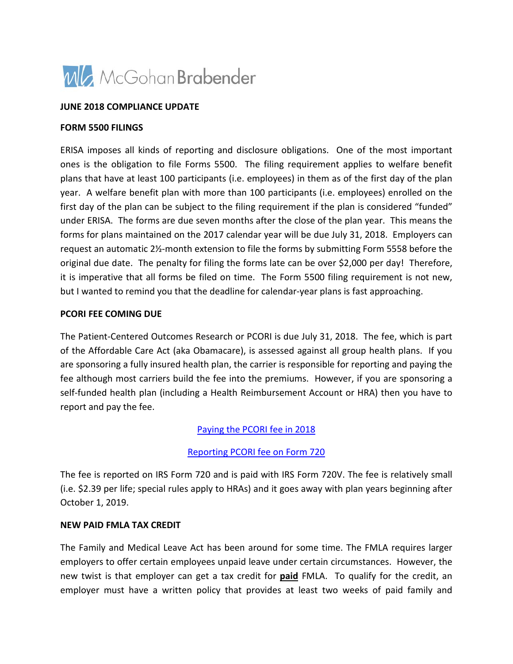

#### **JUNE 2018 COMPLIANCE UPDATE**

#### **FORM 5500 FILINGS**

ERISA imposes all kinds of reporting and disclosure obligations. One of the most important ones is the obligation to file Forms 5500. The filing requirement applies to welfare benefit plans that have at least 100 participants (i.e. employees) in them as of the first day of the plan year. A welfare benefit plan with more than 100 participants (i.e. employees) enrolled on the first day of the plan can be subject to the filing requirement if the plan is considered "funded" under ERISA. The forms are due seven months after the close of the plan year. This means the forms for plans maintained on the 2017 calendar year will be due July 31, 2018. Employers can request an automatic 2½-month extension to file the forms by submitting Form 5558 before the original due date. The penalty for filing the forms late can be over \$2,000 per day! Therefore, it is imperative that all forms be filed on time. The Form 5500 filing requirement is not new, but I wanted to remind you that the deadline for calendar-year plans is fast approaching.

#### **PCORI FEE COMING DUE**

The Patient-Centered Outcomes Research or PCORI is due July 31, 2018. The fee, which is part of the Affordable Care Act (aka Obamacare), is assessed against all group health plans. If you are sponsoring a fully insured health plan, the carrier is responsible for reporting and paying the fee although most carriers build the fee into the premiums. However, if you are sponsoring a self-funded health plan (including a Health Reimbursement Account or HRA) then you have to report and pay the fee.

### [Paying the PCORI fee in 2018](http://www.kellerbenefit.com/white-papers/paying-the-pcori-fee/)

### [Reporting PCORI fee on Form 720](https://s11277.pcdn.co/wp-content/uploads/2015/05/ComplianceAlert_PCORI-Fee-Payment-Due-July-31_6.1.18_FINAL.pdf)

The fee is reported on IRS Form 720 and is paid with IRS Form 720V. The fee is relatively small (i.e. \$2.39 per life; special rules apply to HRAs) and it goes away with plan years beginning after October 1, 2019.

#### **NEW PAID FMLA TAX CREDIT**

The Family and Medical Leave Act has been around for some time. The FMLA requires larger employers to offer certain employees unpaid leave under certain circumstances. However, the new twist is that employer can get a tax credit for **paid** FMLA. To qualify for the credit, an employer must have a written policy that provides at least two weeks of paid family and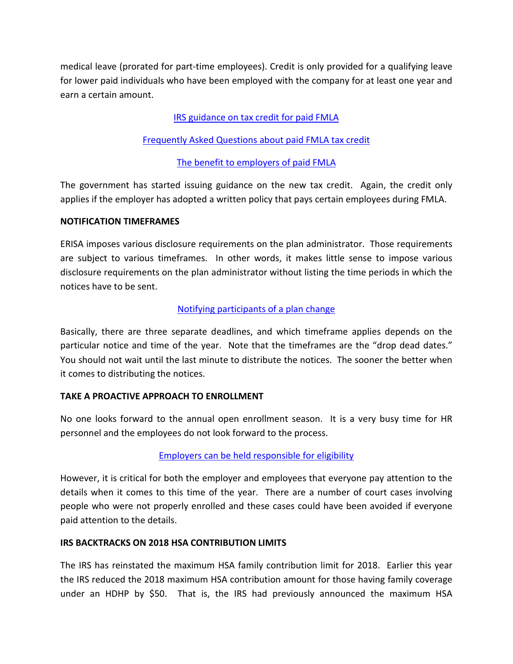medical leave (prorated for part-time employees). Credit is only provided for a qualifying leave for lower paid individuals who have been employed with the company for at least one year and earn a certain amount.

## [IRS guidance on tax credit for paid FMLA](https://www.winston.com/en/benefits-blast/irs-issues-initial-guidance-on-paid-fmla-tax-credit.html)

### [Frequently Asked Questions about paid FMLA tax credit](http://www.kushnerco.com/resources/blog/irs-issues-fmla-tax-credit-faqs-under-section-45s/)

### [The benefit to employers of paid FMLA](https://millerjohnson.com/publication/how-beneficial-is-the-new-paid-leave-tax-credit/)

The government has started issuing guidance on the new tax credit. Again, the credit only applies if the employer has adopted a written policy that pays certain employees during FMLA.

### **NOTIFICATION TIMEFRAMES**

ERISA imposes various disclosure requirements on the plan administrator. Those requirements are subject to various timeframes. In other words, it makes little sense to impose various disclosure requirements on the plan administrator without listing the time periods in which the notices have to be sent.

### [Notifying participants of a plan change](http://blog.ubabenefits.com/when-to-notify-participants-of-a-plan-change)

Basically, there are three separate deadlines, and which timeframe applies depends on the particular notice and time of the year. Note that the timeframes are the "drop dead dates." You should not wait until the last minute to distribute the notices. The sooner the better when it comes to distributing the notices.

### **TAKE A PROACTIVE APPROACH TO ENROLLMENT**

No one looks forward to the annual open enrollment season. It is a very busy time for HR personnel and the employees do not look forward to the process.

### [Employers can be held responsible for eligibility](http://ktserisacorner.com/?p=1700)

However, it is critical for both the employer and employees that everyone pay attention to the details when it comes to this time of the year. There are a number of court cases involving people who were not properly enrolled and these cases could have been avoided if everyone paid attention to the details.

### **IRS BACKTRACKS ON 2018 HSA CONTRIBUTION LIMITS**

The IRS has reinstated the maximum HSA family contribution limit for 2018. Earlier this year the IRS reduced the 2018 maximum HSA contribution amount for those having family coverage under an HDHP by \$50. That is, the IRS had previously announced the maximum HSA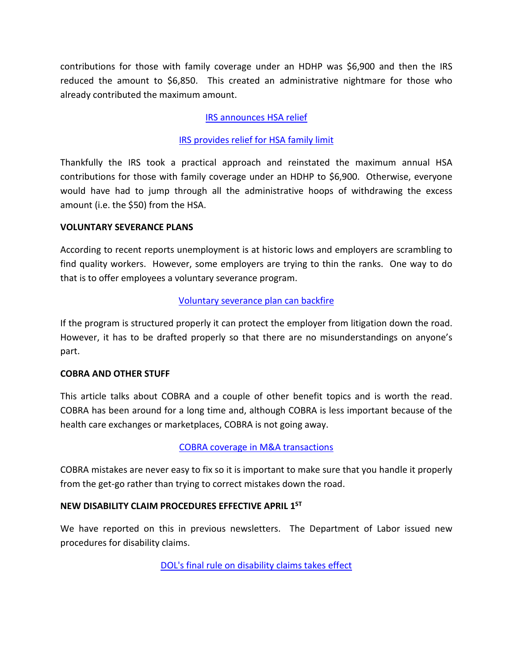contributions for those with family coverage under an HDHP was \$6,900 and then the IRS reduced the amount to \$6,850. This created an administrative nightmare for those who already contributed the maximum amount.

# [IRS announces HSA relief](https://www.ballardspahr.com/alertspublications/legalalerts/2018-04-27-irs-announces-hsa-relief.aspx)

## [IRS provides relief for HSA family limit](https://www.winston.com/en/benefits-blast/irs-provides-relief-for-hsa-family-limit.html)

Thankfully the IRS took a practical approach and reinstated the maximum annual HSA contributions for those with family coverage under an HDHP to \$6,900. Otherwise, everyone would have had to jump through all the administrative hoops of withdrawing the excess amount (i.e. the \$50) from the HSA.

### **VOLUNTARY SEVERANCE PLANS**

According to recent reports unemployment is at historic lows and employers are scrambling to find quality workers. However, some employers are trying to thin the ranks. One way to do that is to offer employees a voluntary severance program.

## [Voluntary severance plan can backfire](http://www.wagnerlawgroup.com/VoluntarySeverancePlansFromSuccesstoBackfire.htm)

If the program is structured properly it can protect the employer from litigation down the road. However, it has to be drafted properly so that there are no misunderstandings on anyone's part.

## **COBRA AND OTHER STUFF**

This article talks about COBRA and a couple of other benefit topics and is worth the read. COBRA has been around for a long time and, although COBRA is less important because of the health care exchanges or marketplaces, COBRA is not going away.

## [COBRA coverage in M&A transactions](http://www.boutwellfay.com/wp-content/uploads/2018/04/Boutwell-Fay-Benefits-News-2018-04.pdf)

COBRA mistakes are never easy to fix so it is important to make sure that you handle it properly from the get-go rather than trying to correct mistakes down the road.

## **NEW DISABILITY CLAIM PROCEDURES EFFECTIVE APRIL 1ST**

We have reported on this in previous newsletters. The Department of Labor issued new procedures for disability claims.

[DOL's final rule on disability claims takes effect](https://fridayfirm.com/en/news/dols-final-rule-on-disability-claim-procedures-take-effect/)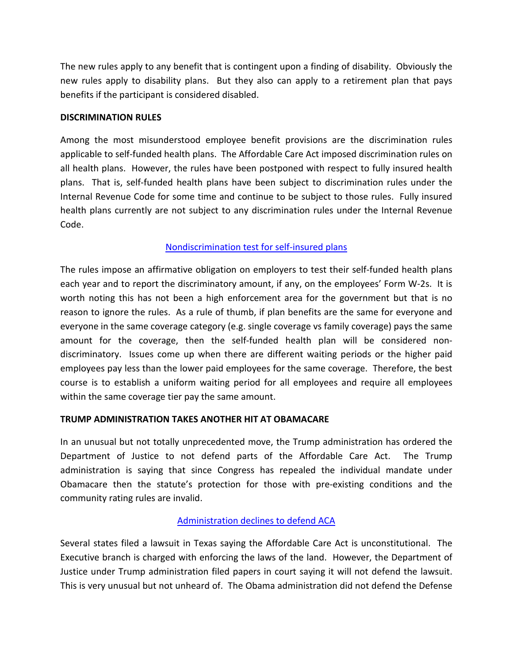The new rules apply to any benefit that is contingent upon a finding of disability. Obviously the new rules apply to disability plans. But they also can apply to a retirement plan that pays benefits if the participant is considered disabled.

### **DISCRIMINATION RULES**

Among the most misunderstood employee benefit provisions are the discrimination rules applicable to self-funded health plans. The Affordable Care Act imposed discrimination rules on all health plans. However, the rules have been postponed with respect to fully insured health plans. That is, self-funded health plans have been subject to discrimination rules under the Internal Revenue Code for some time and continue to be subject to those rules. Fully insured health plans currently are not subject to any discrimination rules under the Internal Revenue Code.

## [Nondiscrimination test for self-insured plans](https://analysis.hrservices.conduent.com/2018/05/03/nondiscrimination-testing-of-self-insured-health-benefits-an-overview/)

The rules impose an affirmative obligation on employers to test their self-funded health plans each year and to report the discriminatory amount, if any, on the employees' Form W-2s. It is worth noting this has not been a high enforcement area for the government but that is no reason to ignore the rules. As a rule of thumb, if plan benefits are the same for everyone and everyone in the same coverage category (e.g. single coverage vs family coverage) pays the same amount for the coverage, then the self-funded health plan will be considered nondiscriminatory. Issues come up when there are different waiting periods or the higher paid employees pay less than the lower paid employees for the same coverage. Therefore, the best course is to establish a uniform waiting period for all employees and require all employees within the same coverage tier pay the same amount.

## **TRUMP ADMINISTRATION TAKES ANOTHER HIT AT OBAMACARE**

In an unusual but not totally unprecedented move, the Trump administration has ordered the Department of Justice to not defend parts of the Affordable Care Act. The Trump administration is saying that since Congress has repealed the individual mandate under Obamacare then the statute's protection for those with pre-existing conditions and the community rating rules are invalid.

# [Administration declines to defend](https://www.healthaffairs.org/do/10.1377/hblog20180608.355585/full/) ACA

Several states filed a lawsuit in Texas saying the Affordable Care Act is unconstitutional. The Executive branch is charged with enforcing the laws of the land. However, the Department of Justice under Trump administration filed papers in court saying it will not defend the lawsuit. This is very unusual but not unheard of. The Obama administration did not defend the Defense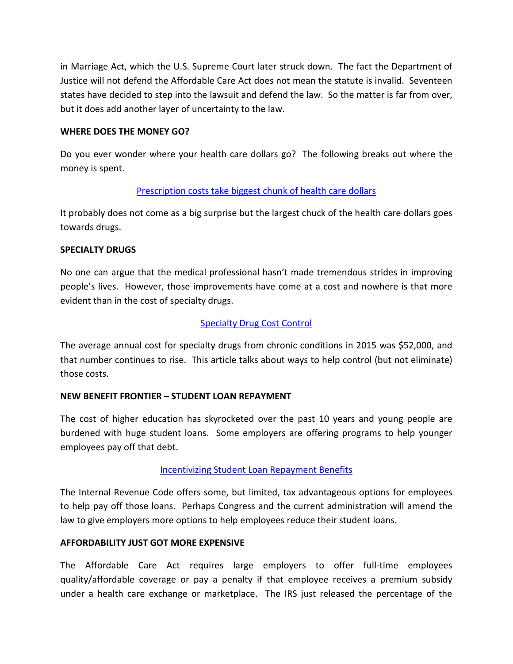in Marriage Act, which the U.S. Supreme Court later struck down. The fact the Department of Justice will not defend the Affordable Care Act does not mean the statute is invalid. Seventeen states have decided to step into the lawsuit and defend the law. So the matter is far from over, but it does add another layer of uncertainty to the law.

### **WHERE DOES THE MONEY GO?**

Do you ever wonder where your health care dollars go? The following breaks out where the money is spent.

## [Prescription costs take biggest chunk of health care dollars](http://news.wolterskluwerlb.com/news/biggest-chunk-of-the-health-care-dollar-goes-to-prescription-drugs/)

It probably does not come as a big surprise but the largest chuck of the health care dollars goes towards drugs.

### **SPECIALTY DRUGS**

No one can argue that the medical professional hasn't made tremendous strides in improving people's lives. However, those improvements have come at a cost and nowhere is that more evident than in the cost of specialty drugs.

## [Specialty Drug Cost Control](https://blog.ifebp.org/index.php/no-magic-pill-to-cure-specialty-drug-costs)

The average annual cost for specialty drugs from chronic conditions in 2015 was \$52,000, and that number continues to rise. This article talks about ways to help control (but not eliminate) those costs.

## **NEW BENEFIT FRONTIER – STUDENT LOAN REPAYMENT**

The cost of higher education has skyrocketed over the past 10 years and young people are burdened with huge student loans. Some employers are offering programs to help younger employees pay off that debt.

## [Incentivizing Student Loan Repayment Benefits](https://www.bna.com/no-fringe-benefit-b73014476189/)

The Internal Revenue Code offers some, but limited, tax advantageous options for employees to help pay off those loans. Perhaps Congress and the current administration will amend the law to give employers more options to help employees reduce their student loans.

### **AFFORDABILITY JUST GOT MORE EXPENSIVE**

The Affordable Care Act requires large employers to offer full-time employees quality/affordable coverage or pay a penalty if that employee receives a premium subsidy under a health care exchange or marketplace. The IRS just released the percentage of the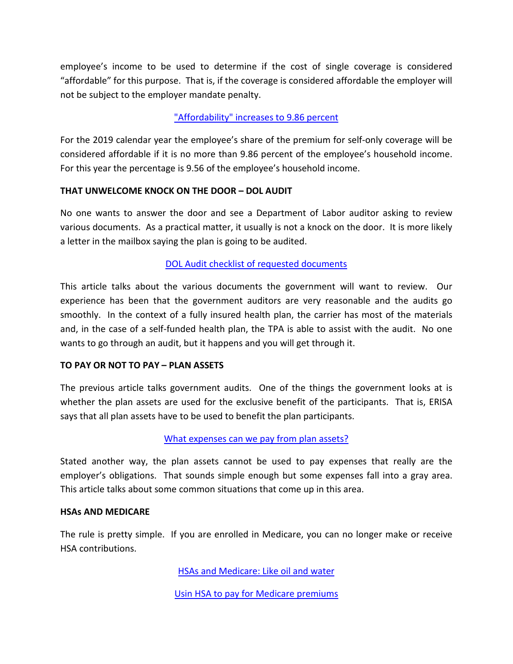employee's income to be used to determine if the cost of single coverage is considered "affordable" for this purpose. That is, if the coverage is considered affordable the employer will not be subject to the employer mandate penalty.

## ["Affordability" increases to 9.86 percent](http://www.theabdteam.com/abd-insights/newsletter/abd-compliance-alert-how-2019-aca-affordability-increase-986-affects)

For the 2019 calendar year the employee's share of the premium for self-only coverage will be considered affordable if it is no more than 9.86 percent of the employee's household income. For this year the percentage is 9.56 of the employee's household income.

## **THAT UNWELCOME KNOCK ON THE DOOR – DOL AUDIT**

No one wants to answer the door and see a Department of Labor auditor asking to review various documents. As a practical matter, it usually is not a knock on the door. It is more likely a letter in the mailbox saying the plan is going to be audited.

### [DOL Audit checklist of requested documents](https://www.cowdenassociates.com/wp-content/uploads/2018/05/DOL-Health-Plan-Audits-Checklist-of-Requested-Documents.pdf)

This article talks about the various documents the government will want to review. Our experience has been that the government auditors are very reasonable and the audits go smoothly. In the context of a fully insured health plan, the carrier has most of the materials and, in the case of a self-funded health plan, the TPA is able to assist with the audit. No one wants to go through an audit, but it happens and you will get through it.

### **TO PAY OR NOT TO PAY – PLAN ASSETS**

The previous article talks government audits. One of the things the government looks at is whether the plan assets are used for the exclusive benefit of the participants. That is, ERISA says that all plan assets have to be used to benefit the plan participants.

## [What expenses can we pay from plan assets?](https://www.drinkerbiddle.com/insights/publications/2018/05/what-expenses-can-we-pay-from-plan-assets)

Stated another way, the plan assets cannot be used to pay expenses that really are the employer's obligations. That sounds simple enough but some expenses fall into a gray area. This article talks about some common situations that come up in this area.

### **HSAs AND MEDICARE**

The rule is pretty simple. If you are enrolled in Medicare, you can no longer make or receive HSA contributions.

[HSAs and Medicare: Like oil and water](http://frenkelbenefits.com/blog/2018/05/21/hsas-and-medicare-like-oil-and-water/)

Usin HSA [to pay for Medicare premiums](https://www.connectyourcare.com/blog/hsa-medicare-using-hsa-to-pay-for-medicare-premiums-and-more/)